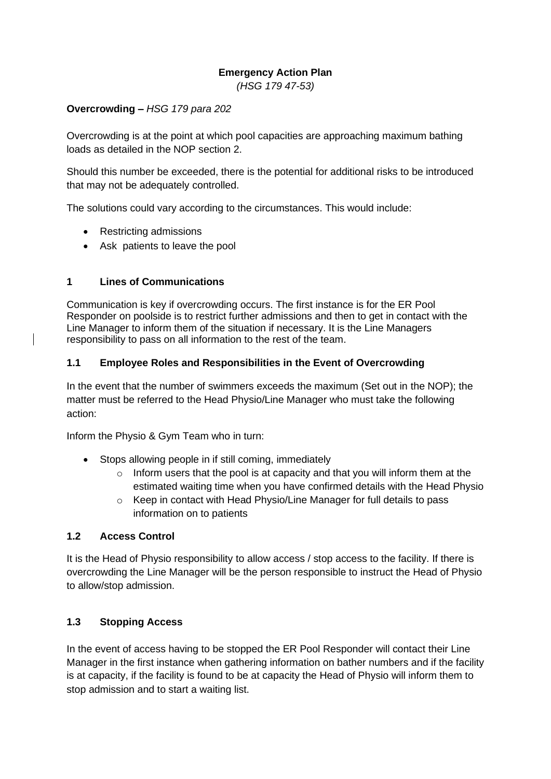#### **Emergency Action Plan**

*(HSG 179 47-53)*

#### **Overcrowding –** *HSG 179 para 202*

Overcrowding is at the point at which pool capacities are approaching maximum bathing loads as detailed in the NOP section 2.

Should this number be exceeded, there is the potential for additional risks to be introduced that may not be adequately controlled.

The solutions could vary according to the circumstances. This would include:

- Restricting admissions
- Ask patients to leave the pool

#### **1 Lines of Communications**

Communication is key if overcrowding occurs. The first instance is for the ER Pool Responder on poolside is to restrict further admissions and then to get in contact with the Line Manager to inform them of the situation if necessary. It is the Line Managers responsibility to pass on all information to the rest of the team.

#### **1.1 Employee Roles and Responsibilities in the Event of Overcrowding**

In the event that the number of swimmers exceeds the maximum (Set out in the NOP); the matter must be referred to the Head Physio/Line Manager who must take the following action:

Inform the Physio & Gym Team who in turn:

- Stops allowing people in if still coming, immediately
	- $\circ$  Inform users that the pool is at capacity and that you will inform them at the estimated waiting time when you have confirmed details with the Head Physio
	- Keep in contact with Head Physio/Line Manager for full details to pass information on to patients

#### **1.2 Access Control**

It is the Head of Physio responsibility to allow access / stop access to the facility. If there is overcrowding the Line Manager will be the person responsible to instruct the Head of Physio to allow/stop admission.

# **1.3 Stopping Access**

In the event of access having to be stopped the ER Pool Responder will contact their Line Manager in the first instance when gathering information on bather numbers and if the facility is at capacity, if the facility is found to be at capacity the Head of Physio will inform them to stop admission and to start a waiting list.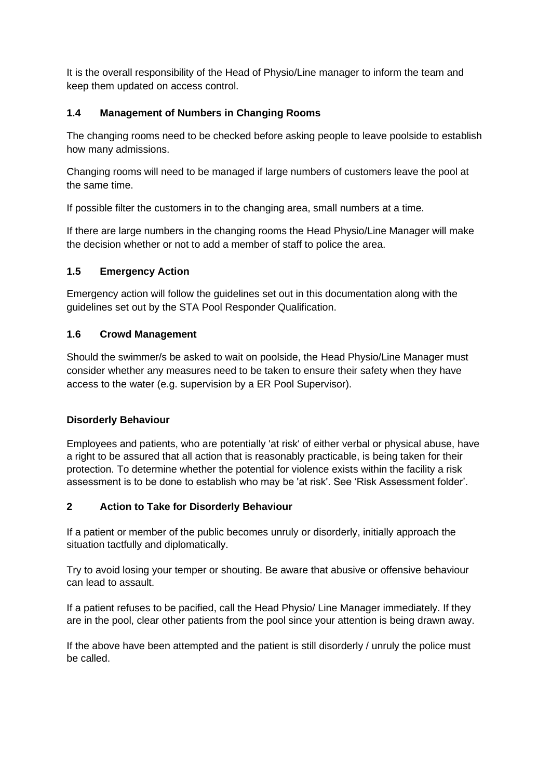It is the overall responsibility of the Head of Physio/Line manager to inform the team and keep them updated on access control.

# **1.4 Management of Numbers in Changing Rooms**

The changing rooms need to be checked before asking people to leave poolside to establish how many admissions.

Changing rooms will need to be managed if large numbers of customers leave the pool at the same time.

If possible filter the customers in to the changing area, small numbers at a time.

If there are large numbers in the changing rooms the Head Physio/Line Manager will make the decision whether or not to add a member of staff to police the area.

## **1.5 Emergency Action**

Emergency action will follow the guidelines set out in this documentation along with the guidelines set out by the STA Pool Responder Qualification.

## **1.6 Crowd Management**

Should the swimmer/s be asked to wait on poolside, the Head Physio/Line Manager must consider whether any measures need to be taken to ensure their safety when they have access to the water (e.g. supervision by a ER Pool Supervisor).

## **Disorderly Behaviour**

Employees and patients, who are potentially 'at risk' of either verbal or physical abuse, have a right to be assured that all action that is reasonably practicable, is being taken for their protection. To determine whether the potential for violence exists within the facility a risk assessment is to be done to establish who may be 'at risk'. See 'Risk Assessment folder'.

## **2 Action to Take for Disorderly Behaviour**

If a patient or member of the public becomes unruly or disorderly, initially approach the situation tactfully and diplomatically.

Try to avoid losing your temper or shouting. Be aware that abusive or offensive behaviour can lead to assault.

If a patient refuses to be pacified, call the Head Physio/ Line Manager immediately. If they are in the pool, clear other patients from the pool since your attention is being drawn away.

If the above have been attempted and the patient is still disorderly / unruly the police must be called.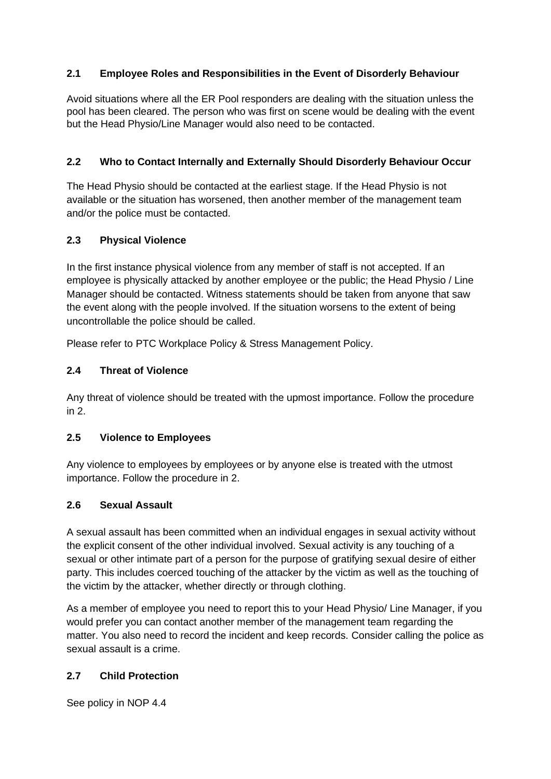# **2.1 Employee Roles and Responsibilities in the Event of Disorderly Behaviour**

Avoid situations where all the ER Pool responders are dealing with the situation unless the pool has been cleared. The person who was first on scene would be dealing with the event but the Head Physio/Line Manager would also need to be contacted.

# **2.2 Who to Contact Internally and Externally Should Disorderly Behaviour Occur**

The Head Physio should be contacted at the earliest stage. If the Head Physio is not available or the situation has worsened, then another member of the management team and/or the police must be contacted.

## **2.3 Physical Violence**

In the first instance physical violence from any member of staff is not accepted. If an employee is physically attacked by another employee or the public; the Head Physio / Line Manager should be contacted. Witness statements should be taken from anyone that saw the event along with the people involved. If the situation worsens to the extent of being uncontrollable the police should be called.

Please refer to PTC Workplace Policy & Stress Management Policy.

# **2.4 Threat of Violence**

Any threat of violence should be treated with the upmost importance. Follow the procedure in 2.

## **2.5 Violence to Employees**

Any violence to employees by employees or by anyone else is treated with the utmost importance. Follow the procedure in 2.

## **2.6 Sexual Assault**

A sexual assault has been committed when an individual engages in sexual activity without the explicit consent of the other individual involved. Sexual activity is any touching of a sexual or other intimate part of a person for the purpose of gratifying sexual desire of either party. This includes coerced touching of the attacker by the victim as well as the touching of the victim by the attacker, whether directly or through clothing.

As a member of employee you need to report this to your Head Physio/ Line Manager, if you would prefer you can contact another member of the management team regarding the matter. You also need to record the incident and keep records. Consider calling the police as sexual assault is a crime.

# **2.7 Child Protection**

See policy in NOP 4.4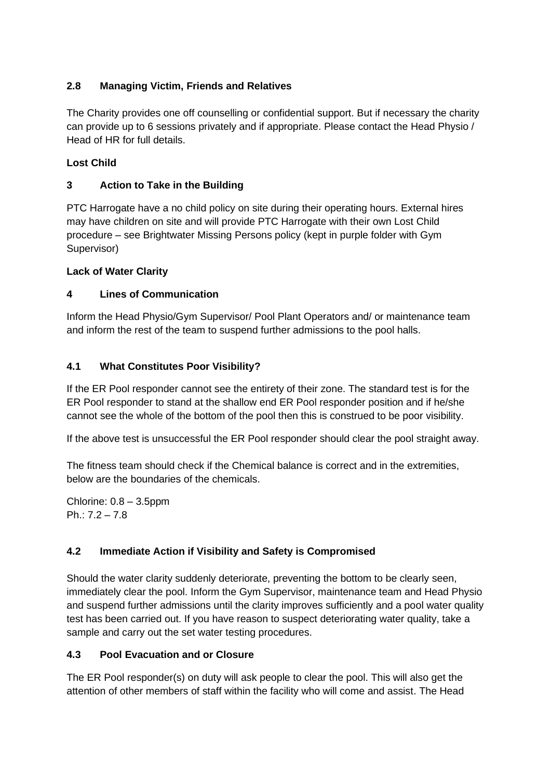# **2.8 Managing Victim, Friends and Relatives**

The Charity provides one off counselling or confidential support. But if necessary the charity can provide up to 6 sessions privately and if appropriate. Please contact the Head Physio / Head of HR for full details.

# **Lost Child**

# **3 Action to Take in the Building**

PTC Harrogate have a no child policy on site during their operating hours. External hires may have children on site and will provide PTC Harrogate with their own Lost Child procedure – see Brightwater Missing Persons policy (kept in purple folder with Gym Supervisor)

## **Lack of Water Clarity**

## **4 Lines of Communication**

Inform the Head Physio/Gym Supervisor/ Pool Plant Operators and/ or maintenance team and inform the rest of the team to suspend further admissions to the pool halls.

## **4.1 What Constitutes Poor Visibility?**

If the ER Pool responder cannot see the entirety of their zone. The standard test is for the ER Pool responder to stand at the shallow end ER Pool responder position and if he/she cannot see the whole of the bottom of the pool then this is construed to be poor visibility.

If the above test is unsuccessful the ER Pool responder should clear the pool straight away.

The fitness team should check if the Chemical balance is correct and in the extremities, below are the boundaries of the chemicals.

Chlorine: 0.8 – 3.5ppm Ph.: 7.2 – 7.8

## **4.2 Immediate Action if Visibility and Safety is Compromised**

Should the water clarity suddenly deteriorate, preventing the bottom to be clearly seen, immediately clear the pool. Inform the Gym Supervisor, maintenance team and Head Physio and suspend further admissions until the clarity improves sufficiently and a pool water quality test has been carried out. If you have reason to suspect deteriorating water quality, take a sample and carry out the set water testing procedures.

## **4.3 Pool Evacuation and or Closure**

The ER Pool responder(s) on duty will ask people to clear the pool. This will also get the attention of other members of staff within the facility who will come and assist. The Head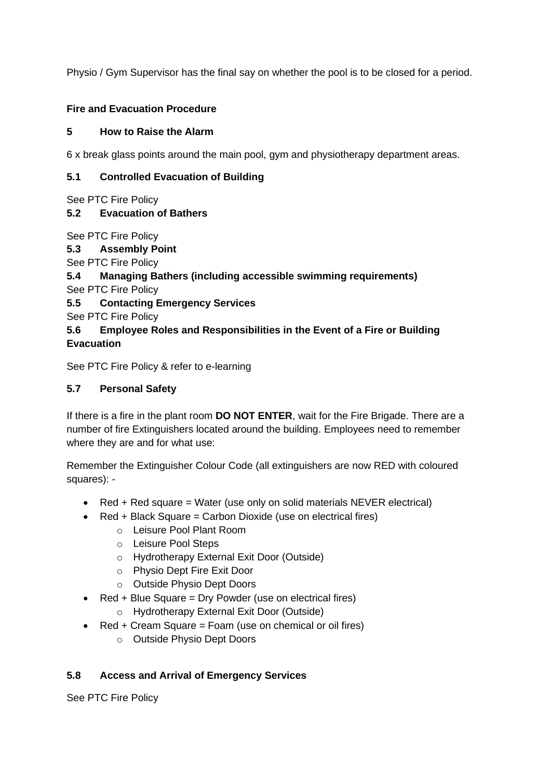Physio / Gym Supervisor has the final say on whether the pool is to be closed for a period.

# **Fire and Evacuation Procedure**

#### **5 How to Raise the Alarm**

6 x break glass points around the main pool, gym and physiotherapy department areas.

#### **5.1 Controlled Evacuation of Building**

See PTC Fire Policy

## **5.2 Evacuation of Bathers**

See PTC Fire Policy

**5.3 Assembly Point**

See PTC Fire Policy

**5.4 Managing Bathers (including accessible swimming requirements)** 

See PTC Fire Policy

**5.5 Contacting Emergency Services**

See PTC Fire Policy

## **5.6 Employee Roles and Responsibilities in the Event of a Fire or Building Evacuation**

See PTC Fire Policy & refer to e-learning

## **5.7 Personal Safety**

If there is a fire in the plant room **DO NOT ENTER**, wait for the Fire Brigade. There are a number of fire Extinguishers located around the building. Employees need to remember where they are and for what use:

Remember the Extinguisher Colour Code (all extinguishers are now RED with coloured squares): -

- Red + Red square = Water (use only on solid materials  $NEVER$  electrical)
- Red + Black Square = Carbon Dioxide (use on electrical fires)
	- o Leisure Pool Plant Room
	- o Leisure Pool Steps
	- o Hydrotherapy External Exit Door (Outside)
	- o Physio Dept Fire Exit Door
	- o Outside Physio Dept Doors
- Red + Blue Square = Dry Powder (use on electrical fires)
	- o Hydrotherapy External Exit Door (Outside)
- Red + Cream Square = Foam (use on chemical or oil fires)
	- o Outside Physio Dept Doors

## **5.8 Access and Arrival of Emergency Services**

See PTC Fire Policy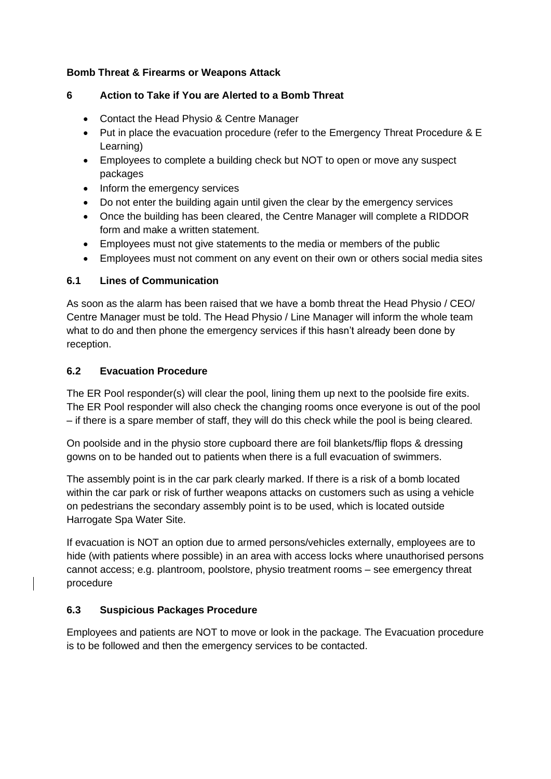#### **Bomb Threat & Firearms or Weapons Attack**

# **6 Action to Take if You are Alerted to a Bomb Threat**

- Contact the Head Physio & Centre Manager
- Put in place the evacuation procedure (refer to the Emergency Threat Procedure & E Learning)
- Employees to complete a building check but NOT to open or move any suspect packages
- Inform the emergency services
- Do not enter the building again until given the clear by the emergency services
- Once the building has been cleared, the Centre Manager will complete a RIDDOR form and make a written statement.
- Employees must not give statements to the media or members of the public
- Employees must not comment on any event on their own or others social media sites

# **6.1 Lines of Communication**

As soon as the alarm has been raised that we have a bomb threat the Head Physio / CEO/ Centre Manager must be told. The Head Physio / Line Manager will inform the whole team what to do and then phone the emergency services if this hasn't already been done by reception.

# **6.2 Evacuation Procedure**

The ER Pool responder(s) will clear the pool, lining them up next to the poolside fire exits. The ER Pool responder will also check the changing rooms once everyone is out of the pool – if there is a spare member of staff, they will do this check while the pool is being cleared.

On poolside and in the physio store cupboard there are foil blankets/flip flops & dressing gowns on to be handed out to patients when there is a full evacuation of swimmers.

The assembly point is in the car park clearly marked. If there is a risk of a bomb located within the car park or risk of further weapons attacks on customers such as using a vehicle on pedestrians the secondary assembly point is to be used, which is located outside Harrogate Spa Water Site.

If evacuation is NOT an option due to armed persons/vehicles externally, employees are to hide (with patients where possible) in an area with access locks where unauthorised persons cannot access; e.g. plantroom, poolstore, physio treatment rooms – see emergency threat procedure

# **6.3 Suspicious Packages Procedure**

Employees and patients are NOT to move or look in the package. The Evacuation procedure is to be followed and then the emergency services to be contacted.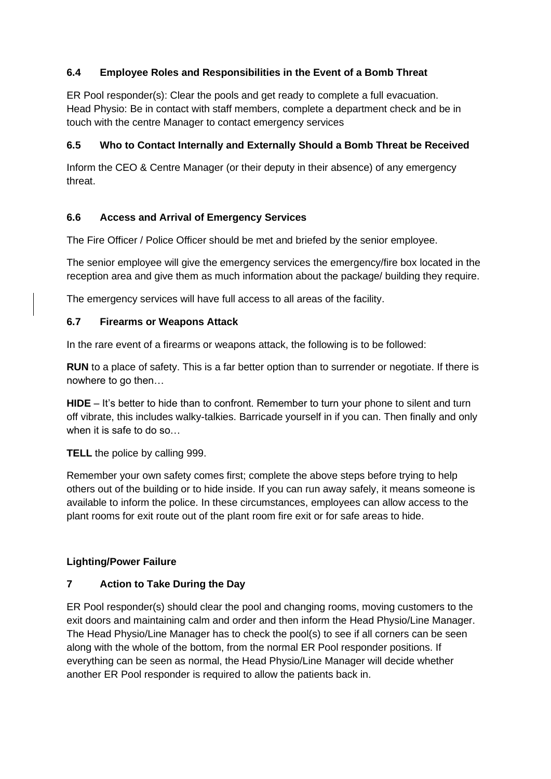# **6.4 Employee Roles and Responsibilities in the Event of a Bomb Threat**

ER Pool responder(s): Clear the pools and get ready to complete a full evacuation. Head Physio: Be in contact with staff members, complete a department check and be in touch with the centre Manager to contact emergency services

## **6.5 Who to Contact Internally and Externally Should a Bomb Threat be Received**

Inform the CEO & Centre Manager (or their deputy in their absence) of any emergency threat.

## **6.6 Access and Arrival of Emergency Services**

The Fire Officer / Police Officer should be met and briefed by the senior employee.

The senior employee will give the emergency services the emergency/fire box located in the reception area and give them as much information about the package/ building they require.

The emergency services will have full access to all areas of the facility.

#### **6.7 Firearms or Weapons Attack**

In the rare event of a firearms or weapons attack, the following is to be followed:

**RUN** to a place of safety. This is a far better option than to surrender or negotiate. If there is nowhere to go then…

**HIDE** – It's better to hide than to confront. Remember to turn your phone to silent and turn off vibrate, this includes walky-talkies. Barricade yourself in if you can. Then finally and only when it is safe to do so…

**TELL** the police by calling 999.

Remember your own safety comes first; complete the above steps before trying to help others out of the building or to hide inside. If you can run away safely, it means someone is available to inform the police. In these circumstances, employees can allow access to the plant rooms for exit route out of the plant room fire exit or for safe areas to hide.

## **Lighting/Power Failure**

## **7 Action to Take During the Day**

ER Pool responder(s) should clear the pool and changing rooms, moving customers to the exit doors and maintaining calm and order and then inform the Head Physio/Line Manager. The Head Physio/Line Manager has to check the pool(s) to see if all corners can be seen along with the whole of the bottom, from the normal ER Pool responder positions. If everything can be seen as normal, the Head Physio/Line Manager will decide whether another ER Pool responder is required to allow the patients back in.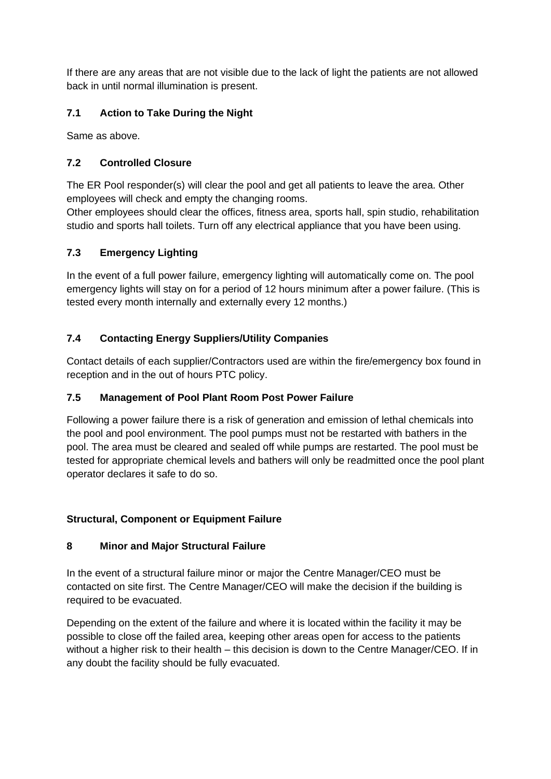If there are any areas that are not visible due to the lack of light the patients are not allowed back in until normal illumination is present.

# **7.1 Action to Take During the Night**

Same as above.

# **7.2 Controlled Closure**

The ER Pool responder(s) will clear the pool and get all patients to leave the area. Other employees will check and empty the changing rooms.

Other employees should clear the offices, fitness area, sports hall, spin studio, rehabilitation studio and sports hall toilets. Turn off any electrical appliance that you have been using.

## **7.3 Emergency Lighting**

In the event of a full power failure, emergency lighting will automatically come on. The pool emergency lights will stay on for a period of 12 hours minimum after a power failure. (This is tested every month internally and externally every 12 months.)

## **7.4 Contacting Energy Suppliers/Utility Companies**

Contact details of each supplier/Contractors used are within the fire/emergency box found in reception and in the out of hours PTC policy.

## **7.5 Management of Pool Plant Room Post Power Failure**

Following a power failure there is a risk of generation and emission of lethal chemicals into the pool and pool environment. The pool pumps must not be restarted with bathers in the pool. The area must be cleared and sealed off while pumps are restarted. The pool must be tested for appropriate chemical levels and bathers will only be readmitted once the pool plant operator declares it safe to do so.

## **Structural, Component or Equipment Failure**

## **8 Minor and Major Structural Failure**

In the event of a structural failure minor or major the Centre Manager/CEO must be contacted on site first. The Centre Manager/CEO will make the decision if the building is required to be evacuated.

Depending on the extent of the failure and where it is located within the facility it may be possible to close off the failed area, keeping other areas open for access to the patients without a higher risk to their health – this decision is down to the Centre Manager/CEO. If in any doubt the facility should be fully evacuated.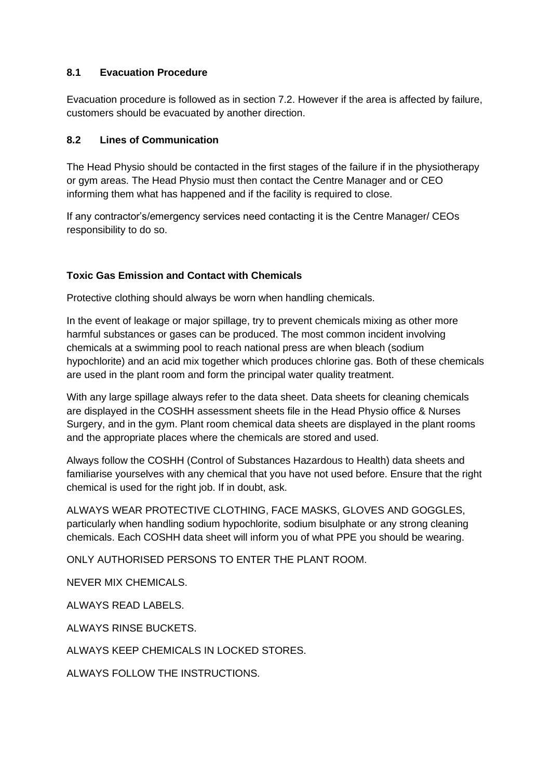#### **8.1 Evacuation Procedure**

Evacuation procedure is followed as in section 7.2. However if the area is affected by failure, customers should be evacuated by another direction.

#### **8.2 Lines of Communication**

The Head Physio should be contacted in the first stages of the failure if in the physiotherapy or gym areas. The Head Physio must then contact the Centre Manager and or CEO informing them what has happened and if the facility is required to close.

If any contractor's/emergency services need contacting it is the Centre Manager/ CEOs responsibility to do so.

## **Toxic Gas Emission and Contact with Chemicals**

Protective clothing should always be worn when handling chemicals.

In the event of leakage or major spillage, try to prevent chemicals mixing as other more harmful substances or gases can be produced. The most common incident involving chemicals at a swimming pool to reach national press are when bleach (sodium hypochlorite) and an acid mix together which produces chlorine gas. Both of these chemicals are used in the plant room and form the principal water quality treatment.

With any large spillage always refer to the data sheet. Data sheets for cleaning chemicals are displayed in the COSHH assessment sheets file in the Head Physio office & Nurses Surgery, and in the gym. Plant room chemical data sheets are displayed in the plant rooms and the appropriate places where the chemicals are stored and used.

Always follow the COSHH (Control of Substances Hazardous to Health) data sheets and familiarise yourselves with any chemical that you have not used before. Ensure that the right chemical is used for the right job. If in doubt, ask.

ALWAYS WEAR PROTECTIVE CLOTHING, FACE MASKS, GLOVES AND GOGGLES, particularly when handling sodium hypochlorite, sodium bisulphate or any strong cleaning chemicals. Each COSHH data sheet will inform you of what PPE you should be wearing.

ONLY AUTHORISED PERSONS TO ENTER THE PLANT ROOM.

NEVER MIX CHEMICALS.

ALWAYS READ LABELS.

ALWAYS RINSE BUCKETS.

ALWAYS KEEP CHEMICALS IN LOCKED STORES.

ALWAYS FOLLOW THE INSTRUCTIONS.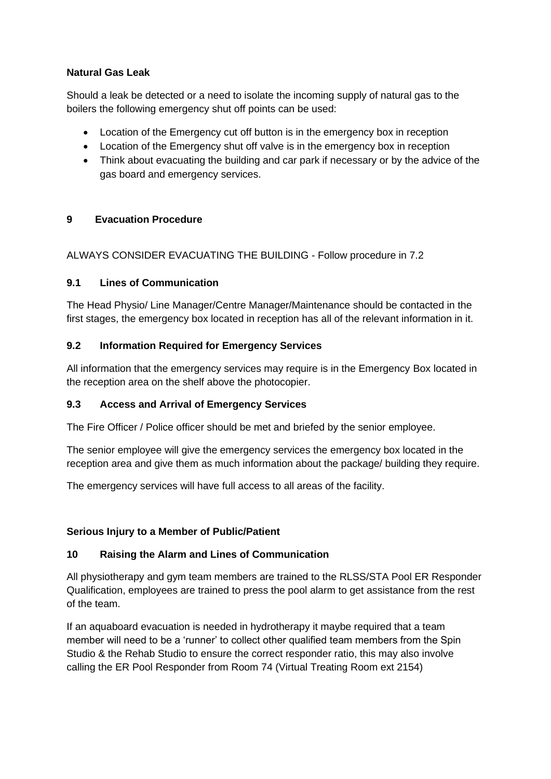## **Natural Gas Leak**

Should a leak be detected or a need to isolate the incoming supply of natural gas to the boilers the following emergency shut off points can be used:

- Location of the Emergency cut off button is in the emergency box in reception
- Location of the Emergency shut off valve is in the emergency box in reception
- Think about evacuating the building and car park if necessary or by the advice of the gas board and emergency services.

#### **9 Evacuation Procedure**

ALWAYS CONSIDER EVACUATING THE BUILDING - Follow procedure in 7.2

#### **9.1 Lines of Communication**

The Head Physio/ Line Manager/Centre Manager/Maintenance should be contacted in the first stages, the emergency box located in reception has all of the relevant information in it.

#### **9.2 Information Required for Emergency Services**

All information that the emergency services may require is in the Emergency Box located in the reception area on the shelf above the photocopier.

#### **9.3 Access and Arrival of Emergency Services**

The Fire Officer / Police officer should be met and briefed by the senior employee.

The senior employee will give the emergency services the emergency box located in the reception area and give them as much information about the package/ building they require.

The emergency services will have full access to all areas of the facility.

## **Serious Injury to a Member of Public/Patient**

#### **10 Raising the Alarm and Lines of Communication**

All physiotherapy and gym team members are trained to the RLSS/STA Pool ER Responder Qualification, employees are trained to press the pool alarm to get assistance from the rest of the team.

If an aquaboard evacuation is needed in hydrotherapy it maybe required that a team member will need to be a 'runner' to collect other qualified team members from the Spin Studio & the Rehab Studio to ensure the correct responder ratio, this may also involve calling the ER Pool Responder from Room 74 (Virtual Treating Room ext 2154)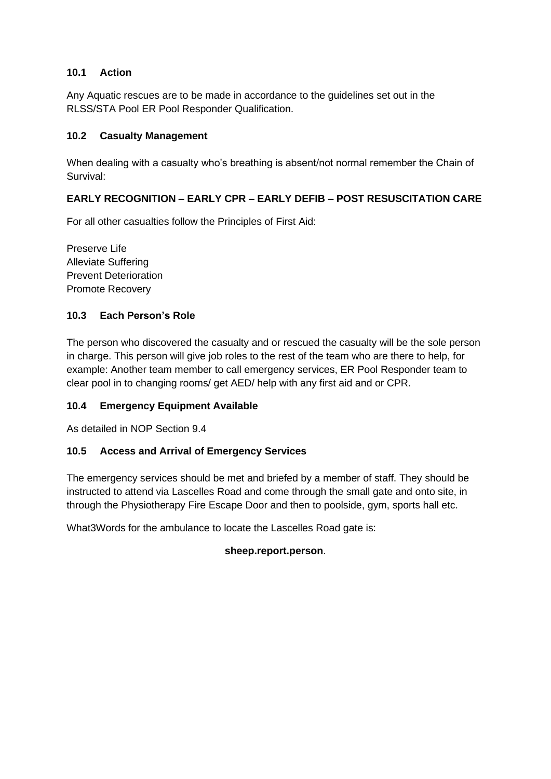#### **10.1 Action**

Any Aquatic rescues are to be made in accordance to the guidelines set out in the RLSS/STA Pool ER Pool Responder Qualification.

#### **10.2 Casualty Management**

When dealing with a casualty who's breathing is absent/not normal remember the Chain of Survival:

## **EARLY RECOGNITION – EARLY CPR – EARLY DEFIB – POST RESUSCITATION CARE**

For all other casualties follow the Principles of First Aid:

Preserve Life Alleviate Suffering Prevent Deterioration Promote Recovery

## **10.3 Each Person's Role**

The person who discovered the casualty and or rescued the casualty will be the sole person in charge. This person will give job roles to the rest of the team who are there to help, for example: Another team member to call emergency services, ER Pool Responder team to clear pool in to changing rooms/ get AED/ help with any first aid and or CPR.

#### **10.4 Emergency Equipment Available**

As detailed in NOP Section 9.4

#### **10.5 Access and Arrival of Emergency Services**

The emergency services should be met and briefed by a member of staff. They should be instructed to attend via Lascelles Road and come through the small gate and onto site, in through the Physiotherapy Fire Escape Door and then to poolside, gym, sports hall etc.

What3Words for the ambulance to locate the Lascelles Road gate is:

#### **sheep.report.person**.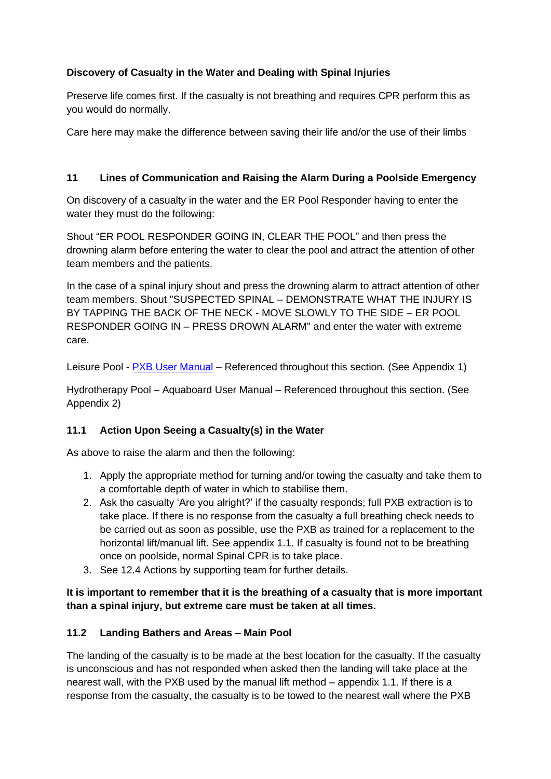# **Discovery of Casualty in the Water and Dealing with Spinal Injuries**

Preserve life comes first. If the casualty is not breathing and requires CPR perform this as you would do normally.

Care here may make the difference between saving their life and/or the use of their limbs

## **11 Lines of Communication and Raising the Alarm During a Poolside Emergency**

On discovery of a casualty in the water and the ER Pool Responder having to enter the water they must do the following:

Shout "ER POOL RESPONDER GOING IN, CLEAR THE POOL" and then press the drowning alarm before entering the water to clear the pool and attract the attention of other team members and the patients.

In the case of a spinal injury shout and press the drowning alarm to attract attention of other team members. Shout "SUSPECTED SPINAL – DEMONSTRATE WHAT THE INJURY IS BY TAPPING THE BACK OF THE NECK - MOVE SLOWLY TO THE SIDE – ER POOL RESPONDER GOING IN – PRESS DROWN ALARM" and enter the water with extreme care.

Leisure Pool - [PXB User Manual](file:///E:/PXB%20User%20Manual.pdf) – Referenced throughout this section. (See Appendix 1)

Hydrotherapy Pool – Aquaboard User Manual – Referenced throughout this section. (See Appendix 2)

## **11.1 Action Upon Seeing a Casualty(s) in the Water**

As above to raise the alarm and then the following:

- 1. Apply the appropriate method for turning and/or towing the casualty and take them to a comfortable depth of water in which to stabilise them.
- 2. Ask the casualty 'Are you alright?' if the casualty responds; full PXB extraction is to take place. If there is no response from the casualty a full breathing check needs to be carried out as soon as possible, use the PXB as trained for a replacement to the horizontal lift/manual lift. See appendix 1.1. If casualty is found not to be breathing once on poolside, normal Spinal CPR is to take place.
- 3. See 12.4 Actions by supporting team for further details.

**It is important to remember that it is the breathing of a casualty that is more important than a spinal injury, but extreme care must be taken at all times.**

## **11.2 Landing Bathers and Areas – Main Pool**

The landing of the casualty is to be made at the best location for the casualty. If the casualty is unconscious and has not responded when asked then the landing will take place at the nearest wall, with the PXB used by the manual lift method – appendix 1.1. If there is a response from the casualty, the casualty is to be towed to the nearest wall where the PXB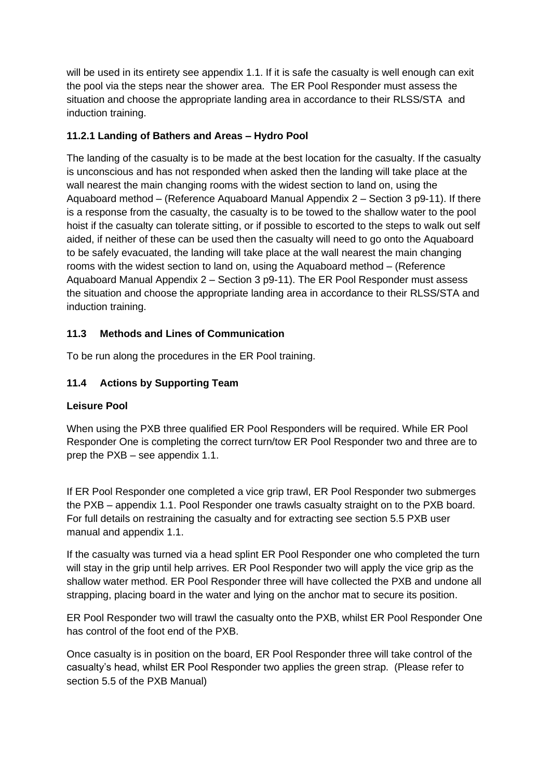will be used in its entirety see appendix 1.1. If it is safe the casualty is well enough can exit the pool via the steps near the shower area. The ER Pool Responder must assess the situation and choose the appropriate landing area in accordance to their RLSS/STA and induction training.

# **11.2.1 Landing of Bathers and Areas – Hydro Pool**

The landing of the casualty is to be made at the best location for the casualty. If the casualty is unconscious and has not responded when asked then the landing will take place at the wall nearest the main changing rooms with the widest section to land on, using the Aquaboard method – (Reference Aquaboard Manual Appendix 2 – Section 3 p9-11). If there is a response from the casualty, the casualty is to be towed to the shallow water to the pool hoist if the casualty can tolerate sitting, or if possible to escorted to the steps to walk out self aided, if neither of these can be used then the casualty will need to go onto the Aquaboard to be safely evacuated, the landing will take place at the wall nearest the main changing rooms with the widest section to land on, using the Aquaboard method – (Reference Aquaboard Manual Appendix 2 – Section 3 p9-11). The ER Pool Responder must assess the situation and choose the appropriate landing area in accordance to their RLSS/STA and induction training.

# **11.3 Methods and Lines of Communication**

To be run along the procedures in the ER Pool training.

# **11.4 Actions by Supporting Team**

## **Leisure Pool**

When using the PXB three qualified ER Pool Responders will be required. While ER Pool Responder One is completing the correct turn/tow ER Pool Responder two and three are to prep the PXB – see appendix 1.1.

If ER Pool Responder one completed a vice grip trawl, ER Pool Responder two submerges the PXB – appendix 1.1. Pool Responder one trawls casualty straight on to the PXB board. For full details on restraining the casualty and for extracting see section 5.5 PXB user manual and appendix 1.1.

If the casualty was turned via a head splint ER Pool Responder one who completed the turn will stay in the grip until help arrives. ER Pool Responder two will apply the vice grip as the shallow water method. ER Pool Responder three will have collected the PXB and undone all strapping, placing board in the water and lying on the anchor mat to secure its position.

ER Pool Responder two will trawl the casualty onto the PXB, whilst ER Pool Responder One has control of the foot end of the PXB.

Once casualty is in position on the board, ER Pool Responder three will take control of the casualty's head, whilst ER Pool Responder two applies the green strap. (Please refer to section 5.5 of the PXB Manual)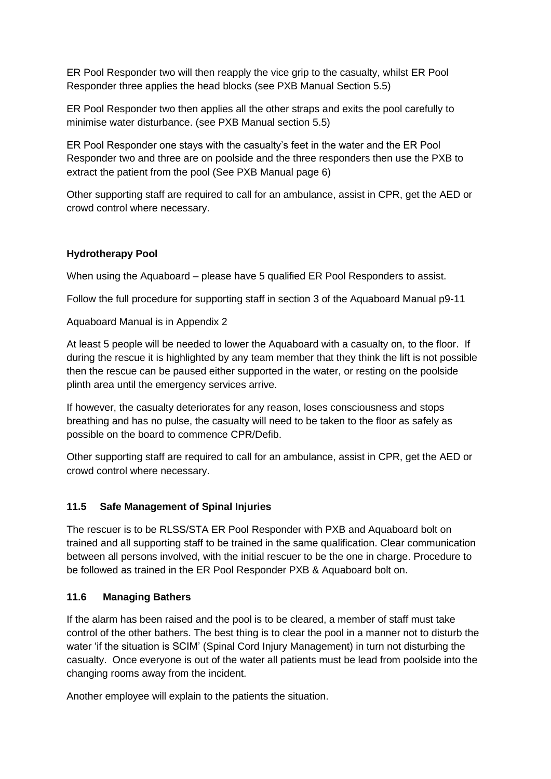ER Pool Responder two will then reapply the vice grip to the casualty, whilst ER Pool Responder three applies the head blocks (see PXB Manual Section 5.5)

ER Pool Responder two then applies all the other straps and exits the pool carefully to minimise water disturbance. (see PXB Manual section 5.5)

ER Pool Responder one stays with the casualty's feet in the water and the ER Pool Responder two and three are on poolside and the three responders then use the PXB to extract the patient from the pool (See PXB Manual page 6)

Other supporting staff are required to call for an ambulance, assist in CPR, get the AED or crowd control where necessary.

#### **Hydrotherapy Pool**

When using the Aquaboard – please have 5 qualified ER Pool Responders to assist.

Follow the full procedure for supporting staff in section 3 of the Aquaboard Manual p9-11

Aquaboard Manual is in Appendix 2

At least 5 people will be needed to lower the Aquaboard with a casualty on, to the floor. If during the rescue it is highlighted by any team member that they think the lift is not possible then the rescue can be paused either supported in the water, or resting on the poolside plinth area until the emergency services arrive.

If however, the casualty deteriorates for any reason, loses consciousness and stops breathing and has no pulse, the casualty will need to be taken to the floor as safely as possible on the board to commence CPR/Defib.

Other supporting staff are required to call for an ambulance, assist in CPR, get the AED or crowd control where necessary.

## **11.5 Safe Management of Spinal Injuries**

The rescuer is to be RLSS/STA ER Pool Responder with PXB and Aquaboard bolt on trained and all supporting staff to be trained in the same qualification. Clear communication between all persons involved, with the initial rescuer to be the one in charge. Procedure to be followed as trained in the ER Pool Responder PXB & Aquaboard bolt on.

#### **11.6 Managing Bathers**

If the alarm has been raised and the pool is to be cleared, a member of staff must take control of the other bathers. The best thing is to clear the pool in a manner not to disturb the water 'if the situation is SCIM' (Spinal Cord Injury Management) in turn not disturbing the casualty. Once everyone is out of the water all patients must be lead from poolside into the changing rooms away from the incident.

Another employee will explain to the patients the situation.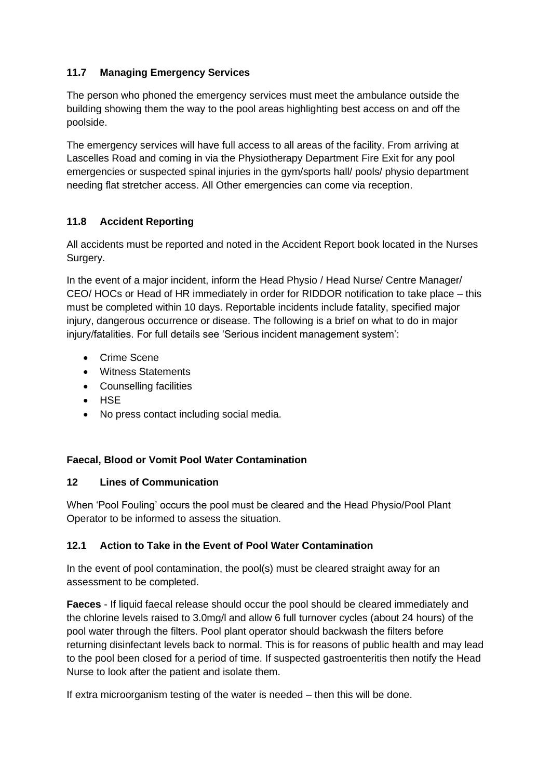# **11.7 Managing Emergency Services**

The person who phoned the emergency services must meet the ambulance outside the building showing them the way to the pool areas highlighting best access on and off the poolside.

The emergency services will have full access to all areas of the facility. From arriving at Lascelles Road and coming in via the Physiotherapy Department Fire Exit for any pool emergencies or suspected spinal injuries in the gym/sports hall/ pools/ physio department needing flat stretcher access. All Other emergencies can come via reception.

# **11.8 Accident Reporting**

All accidents must be reported and noted in the Accident Report book located in the Nurses Surgery.

In the event of a major incident, inform the Head Physio / Head Nurse/ Centre Manager/ CEO/ HOCs or Head of HR immediately in order for RIDDOR notification to take place – this must be completed within 10 days. Reportable incidents include fatality, specified major injury, dangerous occurrence or disease. The following is a brief on what to do in major injury/fatalities. For full details see 'Serious incident management system':

- Crime Scene
- Witness Statements
- Counselling facilities
- HSE
- No press contact including social media.

## **Faecal, Blood or Vomit Pool Water Contamination**

## **12 Lines of Communication**

When 'Pool Fouling' occurs the pool must be cleared and the Head Physio/Pool Plant Operator to be informed to assess the situation.

## **12.1 Action to Take in the Event of Pool Water Contamination**

In the event of pool contamination, the pool(s) must be cleared straight away for an assessment to be completed.

**Faeces** - If liquid faecal release should occur the pool should be cleared immediately and the chlorine levels raised to 3.0mg/l and allow 6 full turnover cycles (about 24 hours) of the pool water through the filters. Pool plant operator should backwash the filters before returning disinfectant levels back to normal. This is for reasons of public health and may lead to the pool been closed for a period of time. If suspected gastroenteritis then notify the Head Nurse to look after the patient and isolate them.

If extra microorganism testing of the water is needed – then this will be done.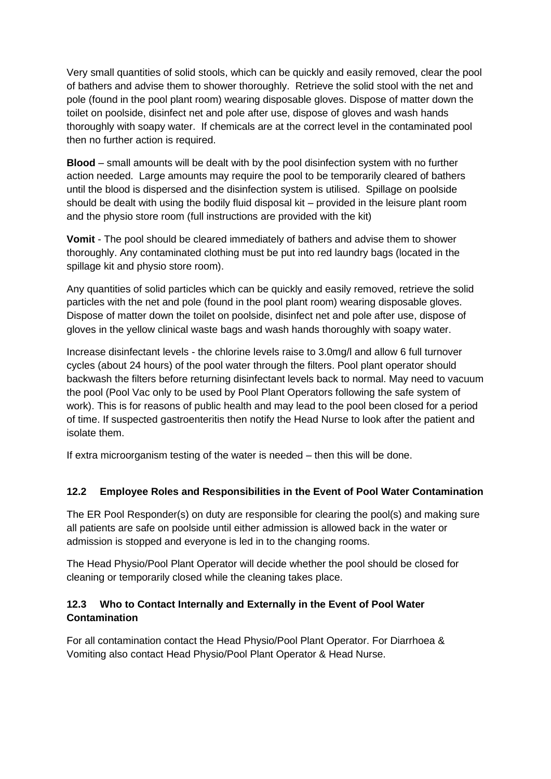Very small quantities of solid stools, which can be quickly and easily removed, clear the pool of bathers and advise them to shower thoroughly. Retrieve the solid stool with the net and pole (found in the pool plant room) wearing disposable gloves. Dispose of matter down the toilet on poolside, disinfect net and pole after use, dispose of gloves and wash hands thoroughly with soapy water. If chemicals are at the correct level in the contaminated pool then no further action is required.

**Blood** – small amounts will be dealt with by the pool disinfection system with no further action needed. Large amounts may require the pool to be temporarily cleared of bathers until the blood is dispersed and the disinfection system is utilised. Spillage on poolside should be dealt with using the bodily fluid disposal kit – provided in the leisure plant room and the physio store room (full instructions are provided with the kit)

**Vomit** - The pool should be cleared immediately of bathers and advise them to shower thoroughly. Any contaminated clothing must be put into red laundry bags (located in the spillage kit and physio store room).

Any quantities of solid particles which can be quickly and easily removed, retrieve the solid particles with the net and pole (found in the pool plant room) wearing disposable gloves. Dispose of matter down the toilet on poolside, disinfect net and pole after use, dispose of gloves in the yellow clinical waste bags and wash hands thoroughly with soapy water.

Increase disinfectant levels - the chlorine levels raise to 3.0mg/l and allow 6 full turnover cycles (about 24 hours) of the pool water through the filters. Pool plant operator should backwash the filters before returning disinfectant levels back to normal. May need to vacuum the pool (Pool Vac only to be used by Pool Plant Operators following the safe system of work). This is for reasons of public health and may lead to the pool been closed for a period of time. If suspected gastroenteritis then notify the Head Nurse to look after the patient and isolate them.

If extra microorganism testing of the water is needed – then this will be done.

## **12.2 Employee Roles and Responsibilities in the Event of Pool Water Contamination**

The ER Pool Responder(s) on duty are responsible for clearing the pool(s) and making sure all patients are safe on poolside until either admission is allowed back in the water or admission is stopped and everyone is led in to the changing rooms.

The Head Physio/Pool Plant Operator will decide whether the pool should be closed for cleaning or temporarily closed while the cleaning takes place.

# **12.3 Who to Contact Internally and Externally in the Event of Pool Water Contamination**

For all contamination contact the Head Physio/Pool Plant Operator. For Diarrhoea & Vomiting also contact Head Physio/Pool Plant Operator & Head Nurse.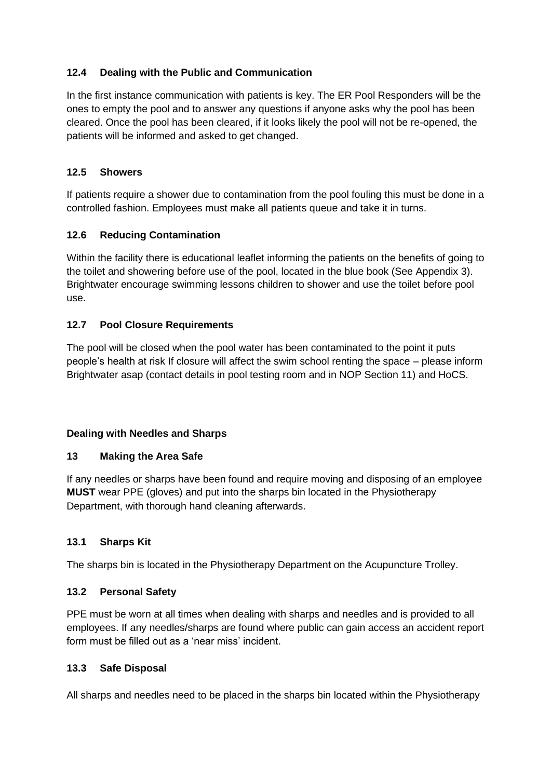## **12.4 Dealing with the Public and Communication**

In the first instance communication with patients is key. The ER Pool Responders will be the ones to empty the pool and to answer any questions if anyone asks why the pool has been cleared. Once the pool has been cleared, if it looks likely the pool will not be re-opened, the patients will be informed and asked to get changed.

#### **12.5 Showers**

If patients require a shower due to contamination from the pool fouling this must be done in a controlled fashion. Employees must make all patients queue and take it in turns.

#### **12.6 Reducing Contamination**

Within the facility there is educational leaflet informing the patients on the benefits of going to the toilet and showering before use of the pool, located in the blue book (See Appendix 3). Brightwater encourage swimming lessons children to shower and use the toilet before pool use.

#### **12.7 Pool Closure Requirements**

The pool will be closed when the pool water has been contaminated to the point it puts people's health at risk If closure will affect the swim school renting the space – please inform Brightwater asap (contact details in pool testing room and in NOP Section 11) and HoCS.

#### **Dealing with Needles and Sharps**

#### **13 Making the Area Safe**

If any needles or sharps have been found and require moving and disposing of an employee **MUST** wear PPE (gloves) and put into the sharps bin located in the Physiotherapy Department, with thorough hand cleaning afterwards.

#### **13.1 Sharps Kit**

The sharps bin is located in the Physiotherapy Department on the Acupuncture Trolley.

#### **13.2 Personal Safety**

PPE must be worn at all times when dealing with sharps and needles and is provided to all employees. If any needles/sharps are found where public can gain access an accident report form must be filled out as a 'near miss' incident.

#### **13.3 Safe Disposal**

All sharps and needles need to be placed in the sharps bin located within the Physiotherapy